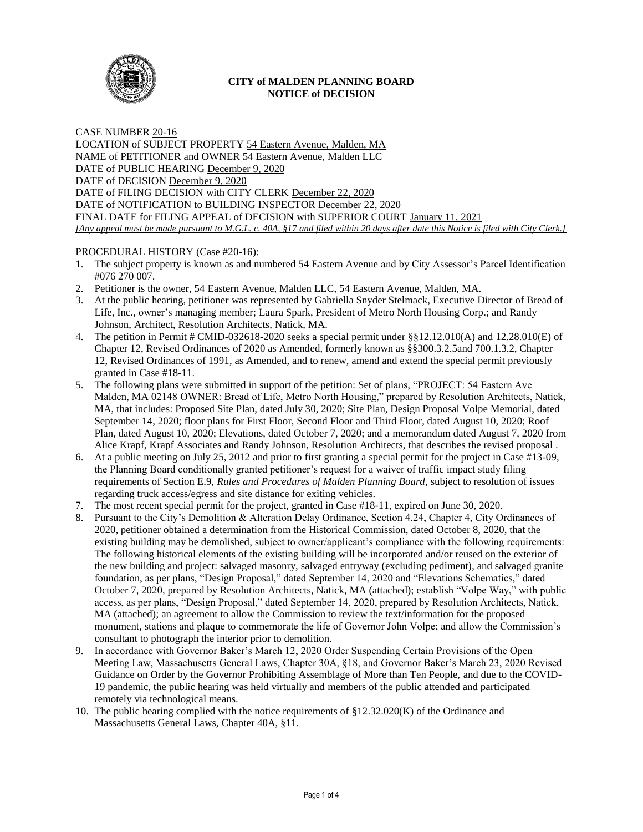

# **CITY of MALDEN PLANNING BOARD NOTICE of DECISION**

CASE NUMBER 20-16 LOCATION of SUBJECT PROPERTY 54 Eastern Avenue, Malden, MA NAME of PETITIONER and OWNER 54 Eastern Avenue, Malden LLC DATE of PUBLIC HEARING December 9, 2020 DATE of DECISION December 9, 2020 DATE of FILING DECISION with CITY CLERK December 22, 2020 DATE of NOTIFICATION to BUILDING INSPECTOR December 22, 2020 FINAL DATE for FILING APPEAL of DECISION with SUPERIOR COURT January 11, 2021 *[Any appeal must be made pursuant to M.G.L. c. 40A, §17 and filed within 20 days after date this Notice is filed with City Clerk.]* 

# PROCEDURAL HISTORY (Case #20-16):

- 1. The subject property is known as and numbered 54 Eastern Avenue and by City Assessor's Parcel Identification #076 270 007.
- 2. Petitioner is the owner, 54 Eastern Avenue, Malden LLC, 54 Eastern Avenue, Malden, MA.
- 3. At the public hearing, petitioner was represented by Gabriella Snyder Stelmack, Executive Director of Bread of Life, Inc., owner's managing member; Laura Spark, President of Metro North Housing Corp.; and Randy Johnson, Architect, Resolution Architects, Natick, MA.
- 4. The petition in Permit # CMID-032618-2020 seeks a special permit under §§12.12.010(A) and 12.28.010(E) of Chapter 12, Revised Ordinances of 2020 as Amended, formerly known as §§300.3.2.5and 700.1.3.2, Chapter 12, Revised Ordinances of 1991, as Amended, and to renew, amend and extend the special permit previously granted in Case #18-11.
- 5. The following plans were submitted in support of the petition: Set of plans, "PROJECT: 54 Eastern Ave Malden, MA 02148 OWNER: Bread of Life, Metro North Housing," prepared by Resolution Architects, Natick, MA, that includes: Proposed Site Plan, dated July 30, 2020; Site Plan, Design Proposal Volpe Memorial, dated September 14, 2020; floor plans for First Floor, Second Floor and Third Floor, dated August 10, 2020; Roof Plan, dated August 10, 2020; Elevations, dated October 7, 2020; and a memorandum dated August 7, 2020 from Alice Krapf, Krapf Associates and Randy Johnson, Resolution Architects, that describes the revised proposal .
- 6. At a public meeting on July 25, 2012 and prior to first granting a special permit for the project in Case #13-09, the Planning Board conditionally granted petitioner's request for a waiver of traffic impact study filing requirements of Section E.9, *Rules and Procedures of Malden Planning Board*, subject to resolution of issues regarding truck access/egress and site distance for exiting vehicles.
- 7. The most recent special permit for the project, granted in Case #18-11, expired on June 30, 2020.
- 8. Pursuant to the City's Demolition & Alteration Delay Ordinance, Section 4.24, Chapter 4, City Ordinances of 2020, petitioner obtained a determination from the Historical Commission, dated October 8, 2020, that the existing building may be demolished, subject to owner/applicant's compliance with the following requirements: The following historical elements of the existing building will be incorporated and/or reused on the exterior of the new building and project: salvaged masonry, salvaged entryway (excluding pediment), and salvaged granite foundation, as per plans, "Design Proposal," dated September 14, 2020 and "Elevations Schematics," dated October 7, 2020, prepared by Resolution Architects, Natick, MA (attached); establish "Volpe Way," with public access, as per plans, "Design Proposal," dated September 14, 2020, prepared by Resolution Architects, Natick, MA (attached); an agreement to allow the Commission to review the text/information for the proposed monument, stations and plaque to commemorate the life of Governor John Volpe; and allow the Commission's consultant to photograph the interior prior to demolition.
- 9. In accordance with Governor Baker's March 12, 2020 Order Suspending Certain Provisions of the Open Meeting Law, Massachusetts General Laws, Chapter 30A, §18, and Governor Baker's March 23, 2020 Revised Guidance on Order by the Governor Prohibiting Assemblage of More than Ten People, and due to the COVID-19 pandemic, the public hearing was held virtually and members of the public attended and participated remotely via technological means.
- 10. The public hearing complied with the notice requirements of  $\S 12.32.020(K)$  of the Ordinance and Massachusetts General Laws, Chapter 40A, §11.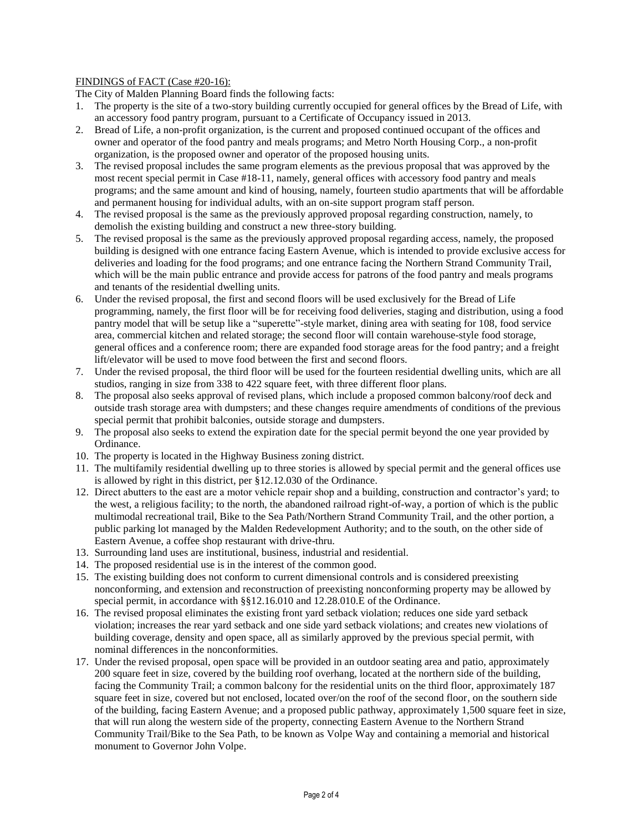## FINDINGS of FACT (Case #20-16):

The City of Malden Planning Board finds the following facts:

- 1. The property is the site of a two-story building currently occupied for general offices by the Bread of Life, with an accessory food pantry program, pursuant to a Certificate of Occupancy issued in 2013.
- 2. Bread of Life, a non-profit organization, is the current and proposed continued occupant of the offices and owner and operator of the food pantry and meals programs; and Metro North Housing Corp., a non-profit organization, is the proposed owner and operator of the proposed housing units.
- 3. The revised proposal includes the same program elements as the previous proposal that was approved by the most recent special permit in Case #18-11, namely, general offices with accessory food pantry and meals programs; and the same amount and kind of housing, namely, fourteen studio apartments that will be affordable and permanent housing for individual adults, with an on-site support program staff person.
- 4. The revised proposal is the same as the previously approved proposal regarding construction, namely, to demolish the existing building and construct a new three-story building.
- 5. The revised proposal is the same as the previously approved proposal regarding access, namely, the proposed building is designed with one entrance facing Eastern Avenue, which is intended to provide exclusive access for deliveries and loading for the food programs; and one entrance facing the Northern Strand Community Trail, which will be the main public entrance and provide access for patrons of the food pantry and meals programs and tenants of the residential dwelling units.
- 6. Under the revised proposal, the first and second floors will be used exclusively for the Bread of Life programming, namely, the first floor will be for receiving food deliveries, staging and distribution, using a food pantry model that will be setup like a "superette"-style market, dining area with seating for 108, food service area, commercial kitchen and related storage; the second floor will contain warehouse-style food storage, general offices and a conference room; there are expanded food storage areas for the food pantry; and a freight lift/elevator will be used to move food between the first and second floors.
- 7. Under the revised proposal, the third floor will be used for the fourteen residential dwelling units, which are all studios, ranging in size from 338 to 422 square feet, with three different floor plans.
- 8. The proposal also seeks approval of revised plans, which include a proposed common balcony/roof deck and outside trash storage area with dumpsters; and these changes require amendments of conditions of the previous special permit that prohibit balconies, outside storage and dumpsters.
- 9. The proposal also seeks to extend the expiration date for the special permit beyond the one year provided by Ordinance.
- 10. The property is located in the Highway Business zoning district.
- 11. The multifamily residential dwelling up to three stories is allowed by special permit and the general offices use is allowed by right in this district, per §12.12.030 of the Ordinance.
- 12. Direct abutters to the east are a motor vehicle repair shop and a building, construction and contractor's yard; to the west, a religious facility; to the north, the abandoned railroad right-of-way, a portion of which is the public multimodal recreational trail, Bike to the Sea Path/Northern Strand Community Trail, and the other portion, a public parking lot managed by the Malden Redevelopment Authority; and to the south, on the other side of Eastern Avenue, a coffee shop restaurant with drive-thru.
- 13. Surrounding land uses are institutional, business, industrial and residential.
- 14. The proposed residential use is in the interest of the common good.
- 15. The existing building does not conform to current dimensional controls and is considered preexisting nonconforming, and extension and reconstruction of preexisting nonconforming property may be allowed by special permit, in accordance with §§12.16.010 and 12.28.010.E of the Ordinance.
- 16. The revised proposal eliminates the existing front yard setback violation; reduces one side yard setback violation; increases the rear yard setback and one side yard setback violations; and creates new violations of building coverage, density and open space, all as similarly approved by the previous special permit, with nominal differences in the nonconformities.
- 17. Under the revised proposal, open space will be provided in an outdoor seating area and patio, approximately 200 square feet in size, covered by the building roof overhang, located at the northern side of the building, facing the Community Trail; a common balcony for the residential units on the third floor, approximately 187 square feet in size, covered but not enclosed, located over/on the roof of the second floor, on the southern side of the building, facing Eastern Avenue; and a proposed public pathway, approximately 1,500 square feet in size, that will run along the western side of the property, connecting Eastern Avenue to the Northern Strand Community Trail/Bike to the Sea Path, to be known as Volpe Way and containing a memorial and historical monument to Governor John Volpe.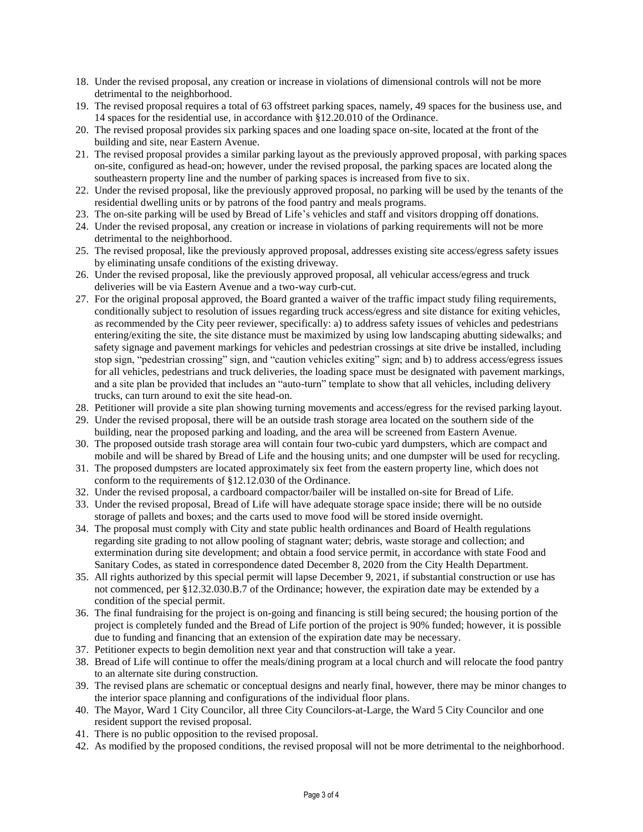- 18. Under the revised proposal, any creation or increase in violations of dimensional controls will not be more detrimental to the neighborhood.
- 19. The revised proposal requires a total of 63 offstreet parking spaces, namely, 49 spaces for the business use, and 14 spaces for the residential use, in accordance with §12.20.010 of the Ordinance.
- 20. The revised proposal provides six parking spaces and one loading space on-site, located at the front of the building and site, near Eastern Avenue.
- 21. The revised proposal provides a similar parking layout as the previously approved proposal, with parking spaces on-site, configured as head-on; however, under the revised proposal, the parking spaces are located along the southeastern property line and the number of parking spaces is increased from five to six.
- 22. Under the revised proposal, like the previously approved proposal, no parking will be used by the tenants of the residential dwelling units or by patrons of the food pantry and meals programs.
- 23. The on-site parking will be used by Bread of Life's vehicles and staff and visitors dropping off donations.
- 24. Under the revised proposal, any creation or increase in violations of parking requirements will not be more detrimental to the neighborhood.
- 25. The revised proposal, like the previously approved proposal, addresses existing site access/egress safety issues by eliminating unsafe conditions of the existing driveway.
- 26. Under the revised proposal, like the previously approved proposal, all vehicular access/egress and truck deliveries will be via Eastern Avenue and a two-way curb-cut.
- 27. For the original proposal approved, the Board granted a waiver of the traffic impact study filing requirements, conditionally subject to resolution of issues regarding truck access/egress and site distance for exiting vehicles, as recommended by the City peer reviewer, specifically: a) to address safety issues of vehicles and pedestrians entering/exiting the site, the site distance must be maximized by using low landscaping abutting sidewalks; and safety signage and pavement markings for vehicles and pedestrian crossings at site drive be installed, including stop sign, "pedestrian crossing" sign, and "caution vehicles exiting" sign; and b) to address access/egress issues for all vehicles, pedestrians and truck deliveries, the loading space must be designated with pavement markings, and a site plan be provided that includes an "auto-turn" template to show that all vehicles, including delivery trucks, can turn around to exit the site head-on.
- 28. Petitioner will provide a site plan showing turning movements and access/egress for the revised parking layout.
- 29. Under the revised proposal, there will be an outside trash storage area located on the southern side of the building, near the proposed parking and loading, and the area will be screened from Eastern Avenue.
- 30. The proposed outside trash storage area will contain four two-cubic yard dumpsters, which are compact and mobile and will be shared by Bread of Life and the housing units; and one dumpster will be used for recycling.
- 31. The proposed dumpsters are located approximately six feet from the eastern property line, which does not conform to the requirements of §12.12.030 of the Ordinance.
- 32. Under the revised proposal, a cardboard compactor/bailer will be installed on-site for Bread of Life.
- 33. Under the revised proposal, Bread of Life will have adequate storage space inside; there will be no outside storage of pallets and boxes; and the carts used to move food will be stored inside overnight.
- 34. The proposal must comply with City and state public health ordinances and Board of Health regulations regarding site grading to not allow pooling of stagnant water; debris, waste storage and collection; and extermination during site development; and obtain a food service permit, in accordance with state Food and Sanitary Codes, as stated in correspondence dated December 8, 2020 from the City Health Department.
- 35. All rights authorized by this special permit will lapse December 9, 2021, if substantial construction or use has not commenced, per §12.32.030.B.7 of the Ordinance; however, the expiration date may be extended by a condition of the special permit.
- 36. The final fundraising for the project is on-going and financing is still being secured; the housing portion of the project is completely funded and the Bread of Life portion of the project is 90% funded; however, it is possible due to funding and financing that an extension of the expiration date may be necessary.
- 37. Petitioner expects to begin demolition next year and that construction will take a year.
- 38. Bread of Life will continue to offer the meals/dining program at a local church and will relocate the food pantry to an alternate site during construction.
- 39. The revised plans are schematic or conceptual designs and nearly final, however, there may be minor changes to the interior space planning and configurations of the individual floor plans.
- 40. The Mayor, Ward 1 City Councilor, all three City Councilors-at-Large, the Ward 5 City Councilor and one resident support the revised proposal.
- 41. There is no public opposition to the revised proposal.
- 42. As modified by the proposed conditions, the revised proposal will not be more detrimental to the neighborhood.